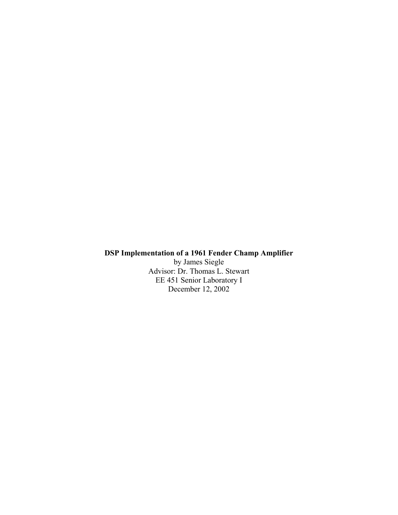# **DSP Implementation of a 1961 Fender Champ Amplifier**

by James Siegle Advisor: Dr. Thomas L. Stewart EE 451 Senior Laboratory I December 12, 2002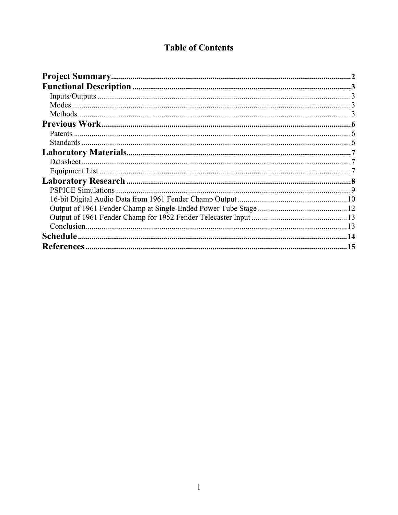# **Table of Contents**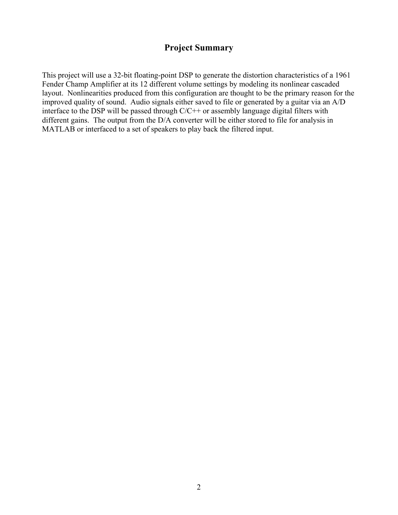# **Project Summary**

This project will use a 32-bit floating-point DSP to generate the distortion characteristics of a 1961 Fender Champ Amplifier at its 12 different volume settings by modeling its nonlinear cascaded layout. Nonlinearities produced from this configuration are thought to be the primary reason for the improved quality of sound. Audio signals either saved to file or generated by a guitar via an A/D interface to the DSP will be passed through C/C++ or assembly language digital filters with different gains. The output from the D/A converter will be either stored to file for analysis in MATLAB or interfaced to a set of speakers to play back the filtered input.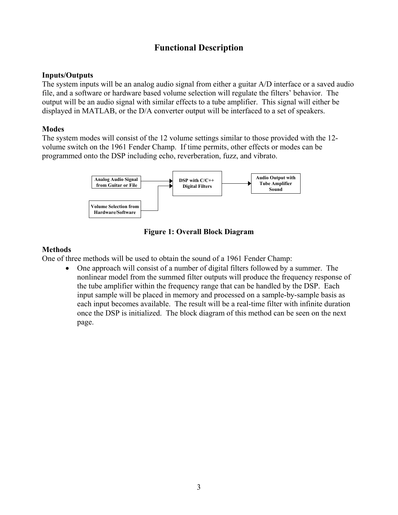# **Functional Description**

### **Inputs/Outputs**

The system inputs will be an analog audio signal from either a guitar A/D interface or a saved audio file, and a software or hardware based volume selection will regulate the filters' behavior. The output will be an audio signal with similar effects to a tube amplifier. This signal will either be displayed in MATLAB, or the D/A converter output will be interfaced to a set of speakers.

### **Modes**

The system modes will consist of the 12 volume settings similar to those provided with the 12 volume switch on the 1961 Fender Champ. If time permits, other effects or modes can be programmed onto the DSP including echo, reverberation, fuzz, and vibrato.



**Figure 1: Overall Block Diagram** 

## **Methods**

One of three methods will be used to obtain the sound of a 1961 Fender Champ:

• One approach will consist of a number of digital filters followed by a summer. The nonlinear model from the summed filter outputs will produce the frequency response of the tube amplifier within the frequency range that can be handled by the DSP. Each input sample will be placed in memory and processed on a sample-by-sample basis as each input becomes available. The result will be a real-time filter with infinite duration once the DSP is initialized. The block diagram of this method can be seen on the next page.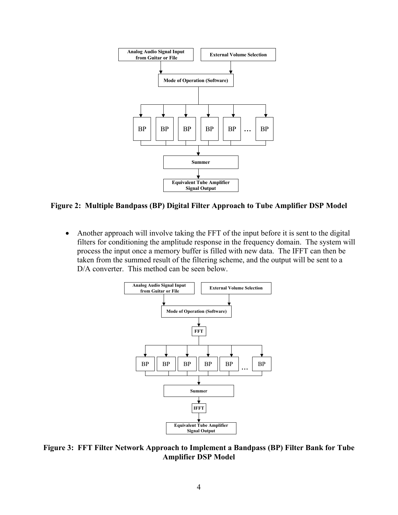

**Figure 2: Multiple Bandpass (BP) Digital Filter Approach to Tube Amplifier DSP Model** 

• Another approach will involve taking the FFT of the input before it is sent to the digital filters for conditioning the amplitude response in the frequency domain. The system will process the input once a memory buffer is filled with new data. The IFFT can then be taken from the summed result of the filtering scheme, and the output will be sent to a D/A converter. This method can be seen below.



**Figure 3: FFT Filter Network Approach to Implement a Bandpass (BP) Filter Bank for Tube Amplifier DSP Model**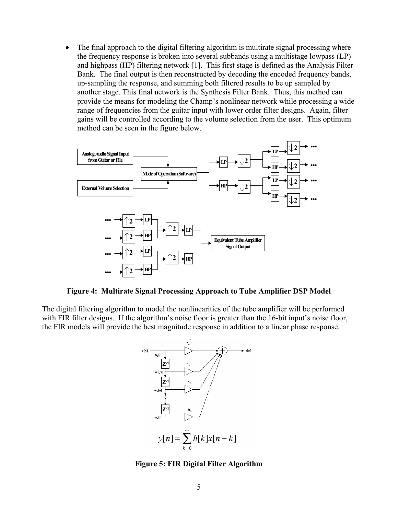• The final approach to the digital filtering algorithm is multirate signal processing where the frequency response is broken into several subbands using a multistage lowpass (LP) and highpass (HP) filtering network [1]. This first stage is defined as the Analysis Filter Bank. The final output is then reconstructed by decoding the encoded frequency bands, up-sampling the response, and summing both filtered results to be up sampled by another stage. This final network is the Synthesis Filter Bank. Thus, this method can provide the means for modeling the Champ's nonlinear network while processing a wide range of frequencies from the guitar input with lower order filter designs. Again, filter gains will be controlled according to the volume selection from the user. This optimum method can be seen in the figure below.



**Figure 4: Multirate Signal Processing Approach to Tube Amplifier DSP Model**

The digital filtering algorithm to model the nonlinearities of the tube amplifier will be performed with FIR filter designs. If the algorithm's noise floor is greater than the 16-bit input's noise floor, the FIR models will provide the best magnitude response in addition to a linear phase response.



**Figure 5: FIR Digital Filter Algorithm**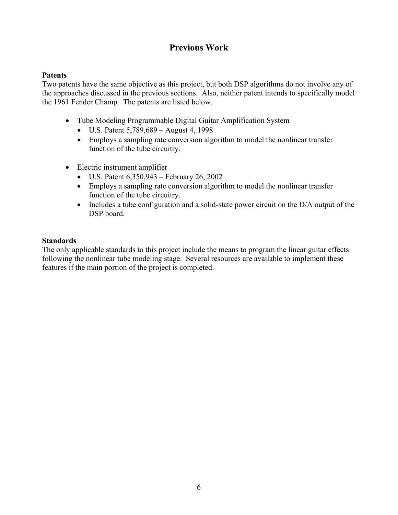# **Previous Work**

### **Patents**

Two patents have the same objective as this project, but both DSP algorithms do not involve any of the approaches discussed in the previous sections. Also, neither patent intends to specifically model the 1961 Fender Champ. The patents are listed below.

- Tube Modeling Programmable Digital Guitar Amplification System
	- U.S. Patent 5,789,689 August 4, 1998
	- Employs a sampling rate conversion algorithm to model the nonlinear transfer function of the tube circuitry.
- Electric instrument amplifier
	- U.S. Patent  $6,350,943$  February 26, 2002
	- Employs a sampling rate conversion algorithm to model the nonlinear transfer function of the tube circuitry.
	- Includes a tube configuration and a solid-state power circuit on the D/A output of the DSP board.

### **Standards**

The only applicable standards to this project include the means to program the linear guitar effects following the nonlinear tube modeling stage. Several resources are available to implement these features if the main portion of the project is completed.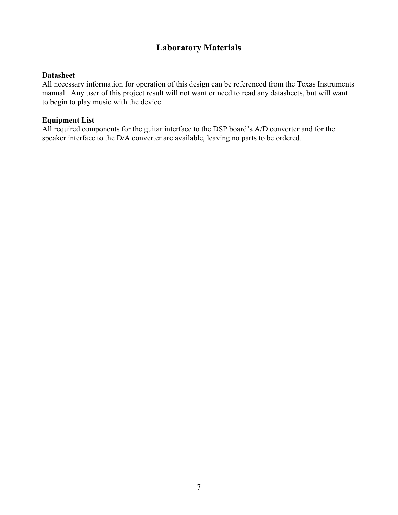# **Laboratory Materials**

#### **Datasheet**

All necessary information for operation of this design can be referenced from the Texas Instruments manual. Any user of this project result will not want or need to read any datasheets, but will want to begin to play music with the device.

#### **Equipment List**

All required components for the guitar interface to the DSP board's A/D converter and for the speaker interface to the D/A converter are available, leaving no parts to be ordered.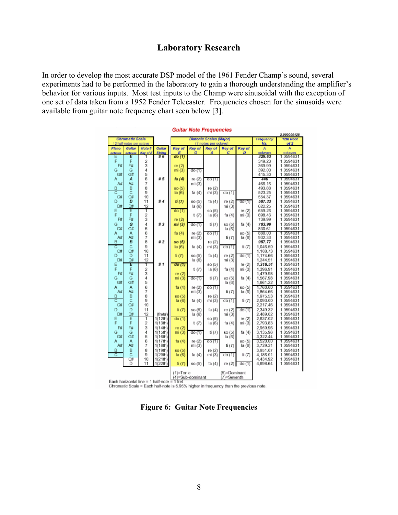# **Laboratory Research**

In order to develop the most accurate DSP model of the 1961 Fender Champ's sound, several experiments had to be performed in the laboratory to gain a thorough understanding the amplifier's behavior for various inputs. Most test inputs to the Champ were sinusoidal with the exception of one set of data taken from a 1952 Fender Telecaster. Frequencies chosen for the sinusoids were available from guitar note frequency chart seen below [3].

| <b>Diatonic Scales (Major)</b><br>Frequency<br>Chromatic Scale<br>12th Root<br>of 2<br>12 half-notes per octave<br>(7 notes per octave)<br>Hz<br>Key of<br>Plano<br>Gultar<br>Note #<br>Key of<br>Key of<br>Key of<br>Key of<br>Guitar<br>Α<br>Α<br>String<br>G<br>c<br>D<br>octaves<br>octaves<br>Key of E<br>А<br>octaves<br>octaves<br>$\pi$ 6<br>do (1)<br>E<br>Ε<br>329.63<br>1.0594631<br>Ë<br>2<br>F<br>349.23<br>1.0594631<br>3<br>F#<br>F#<br>re (2)<br>369.99<br>1.0594631<br>4<br>G<br>G<br>mi(3)<br>392.00<br>1.0594631<br>do(1)<br>5<br>415.30<br>G#<br>G#<br>1.0594631<br>6<br>il 5<br>А<br>440<br>fa (4)<br>re (2)<br>А<br>do (1)<br>1.0594631<br>7<br>A#<br>A#<br>mi (3)<br>466.16<br>1.0594631<br>8<br>re (2)<br>B<br>B<br>493.88<br>1.0594631<br>so (5)<br>Ċ<br>9<br>с<br>mi (3)<br>523.25<br>1.0594631<br>la (6)<br>do (1)<br>fa (4)<br>10<br>C#<br>C#<br>554.37<br>1.0594631<br>ü d<br>D<br>11<br>D<br>ti(7)<br>re (2)<br>587.33<br>1.0594631<br>so (5)<br>ta (4)<br>00 (1)<br>D#<br>12<br>Dø<br>mi (3)<br>622.25<br>1.0594631<br>$\ln(6)$<br>Ε<br>E<br>1<br>659.26<br>1.0594631<br>so (5)<br>re (2)<br>do (1)<br>F<br>F<br>2<br>la (6)<br>mi (3)<br>698.46<br>1.0594631<br>ti (7)<br>fa (4)<br>3<br>F#<br>F#<br>739.99<br>re $(2)$<br>1.0594631<br>4<br>Ġ<br>ñ 3<br>Ğ<br>783.99<br>1.0594631<br>mi (3)<br>do(1)<br>ti (7)<br>so (5)<br>fa (4)<br>5<br>G#<br>G#<br>830.61<br>1.0594631<br>$\ln(6)$<br>6<br>А<br>fa (4)<br>re (2)<br>so (5)<br>880.00<br>1.0594631<br>А<br>do (1)<br>7<br>A#<br>A#<br>mi (3)<br>la(6)<br>932.33<br>1.0594631<br>ti (7)<br>8<br><b>#2</b><br>в<br>в<br>re (2)<br>987.77<br>1.0594631<br>so (5)<br>C<br>Ċ<br>9<br>1.0594631<br>la(6)<br>mi (3)<br>do (1)<br>ti (7)<br>1.046.50<br>fa $(4)$<br>С#<br>С#<br>10<br>1,108.73<br>1.0594631<br>D<br>11<br>D<br>$t$ i $(T)$<br>so (5)<br>re (2)<br>1,174.66<br>1.0594631<br>fa(4)<br>do (1)<br>Dø<br>D#<br>12<br>mi (3)<br>1,244.51<br>1.0594631<br>$\ln(6)$<br><b>81</b><br>1.0594631<br>E<br>E<br>so (5)<br>1,318.51<br>т<br>do (1)<br>re (2)<br>F<br>F<br>2<br>mi (3)<br>1,396.91<br>1.0594631<br>$t$ i $(7)$<br>la (6)<br>fa (4)<br>3<br>F#<br>F#<br>1.0594631<br>re (2)<br>1.479.98<br>4<br>mi(3)<br>G<br>1.0594631<br>do (1)<br>ti (7)<br>so (5)<br>fa (4)<br>1,567.98<br>G<br>5<br>G#<br>G#<br>1,661.22<br>1.0594631<br>la (6)<br>6<br>А<br>1.760.00<br>1.0594631<br>А<br>fa $(4)$<br>re (2)<br>do (1)<br>so (5)<br>A#<br>7<br>mi (3)<br>A#<br>1.0594631<br>ti (7)<br>la(6)<br>1.864.66<br>8<br>B<br>B<br>re (2)<br>1,975.53<br>1.0594631<br>so (5)<br>9<br>C<br>С<br>(a(6)<br>fa $(4)$<br>mi (3)<br>do (1)<br>ti (7)<br>2,093.00<br>1.0594631<br>С#<br>С#<br>10<br>2.217.46<br>1.0594631<br>D<br>11<br>D<br>re (2)<br>2,349.32<br>1.0594631<br>ti $(T)$<br>so (5)<br>fa (4)<br>do(1)<br>D#<br>D#<br>12<br>mi (3)<br>(fret#)<br>$\ln(6)$<br>2,489.02<br>1.0594631<br>1<br>1(12th)<br>2,637.02<br>1.0594631<br>Ε<br>Ε<br>so (5)<br>re (2)<br>do(1)<br>F<br>F<br>2<br>1(13th)<br>$t$ i $(7)$<br>la (6)<br>mi (3)<br>2,793.83<br>1.0594631<br>fa (4)<br>3<br>F#<br>F#<br>1(14th)<br>2,959.96<br>1.0594631<br>re $(2)$<br>4<br>mi(3)<br>G<br>1(15th)<br>1.0594631<br>G<br>do (1)<br>ti (7)<br>so (5)<br>fa (4)<br>3,135.96<br>5<br>G#<br>G#<br>1(16th)<br>la (6)<br>3,322.44<br>1.0594631<br>6<br>А<br>1(17th)<br>fa $(4)$<br>do (1)<br>3,520.00<br>1.0594631<br>А<br>re (2)<br>so (5)<br>A#<br>A#<br>7<br>1(18th)<br>mi (3)<br>3,729.31<br>ti (7)<br>la (6)<br>1.0594631<br>8<br>B<br>B<br>1(19th)<br>so (5)<br>re (2)<br>3,951.07<br>1.0594631<br>Ċ<br>9<br>(a(6)<br>mi (3)<br>С<br>1(20th)<br>4.186.01<br>1.0594631<br>fa (4)<br>do (1)<br>ti (7)<br>Ċ#<br>1(21th)<br>10<br>4.434.92<br>1.0594631<br>D<br>11<br>1(22th)<br>1.0594631<br>so (5)<br>re (2)<br>4,698.64<br>ti(T)<br>ta (4)<br>do (1)<br>(1)=Tonic<br>(5)=Dominant<br>(4)=Sub-dominant<br>(7)=Seventh | <b>Guitar Note Frequencies</b> |  |  |  |  |  |  |  |  |             |
|-------------------------------------------------------------------------------------------------------------------------------------------------------------------------------------------------------------------------------------------------------------------------------------------------------------------------------------------------------------------------------------------------------------------------------------------------------------------------------------------------------------------------------------------------------------------------------------------------------------------------------------------------------------------------------------------------------------------------------------------------------------------------------------------------------------------------------------------------------------------------------------------------------------------------------------------------------------------------------------------------------------------------------------------------------------------------------------------------------------------------------------------------------------------------------------------------------------------------------------------------------------------------------------------------------------------------------------------------------------------------------------------------------------------------------------------------------------------------------------------------------------------------------------------------------------------------------------------------------------------------------------------------------------------------------------------------------------------------------------------------------------------------------------------------------------------------------------------------------------------------------------------------------------------------------------------------------------------------------------------------------------------------------------------------------------------------------------------------------------------------------------------------------------------------------------------------------------------------------------------------------------------------------------------------------------------------------------------------------------------------------------------------------------------------------------------------------------------------------------------------------------------------------------------------------------------------------------------------------------------------------------------------------------------------------------------------------------------------------------------------------------------------------------------------------------------------------------------------------------------------------------------------------------------------------------------------------------------------------------------------------------------------------------------------------------------------------------------------------------------------------------------------------------------------------------------------------------------------------------------------------------------------------------------------------------------------------------------------------------------------------------------------------------------------------------------------------------------------------------------------------------------------------------------------------------------------------------------------------------------------------------------------------------------------------------------------------------------------------------------------------------------------------------------------------------------------------------------------------------------|--------------------------------|--|--|--|--|--|--|--|--|-------------|
|                                                                                                                                                                                                                                                                                                                                                                                                                                                                                                                                                                                                                                                                                                                                                                                                                                                                                                                                                                                                                                                                                                                                                                                                                                                                                                                                                                                                                                                                                                                                                                                                                                                                                                                                                                                                                                                                                                                                                                                                                                                                                                                                                                                                                                                                                                                                                                                                                                                                                                                                                                                                                                                                                                                                                                                                                                                                                                                                                                                                                                                                                                                                                                                                                                                                                                                                                                                                                                                                                                                                                                                                                                                                                                                                                                                                                                                                   |                                |  |  |  |  |  |  |  |  | 2.000000128 |
|                                                                                                                                                                                                                                                                                                                                                                                                                                                                                                                                                                                                                                                                                                                                                                                                                                                                                                                                                                                                                                                                                                                                                                                                                                                                                                                                                                                                                                                                                                                                                                                                                                                                                                                                                                                                                                                                                                                                                                                                                                                                                                                                                                                                                                                                                                                                                                                                                                                                                                                                                                                                                                                                                                                                                                                                                                                                                                                                                                                                                                                                                                                                                                                                                                                                                                                                                                                                                                                                                                                                                                                                                                                                                                                                                                                                                                                                   |                                |  |  |  |  |  |  |  |  |             |
|                                                                                                                                                                                                                                                                                                                                                                                                                                                                                                                                                                                                                                                                                                                                                                                                                                                                                                                                                                                                                                                                                                                                                                                                                                                                                                                                                                                                                                                                                                                                                                                                                                                                                                                                                                                                                                                                                                                                                                                                                                                                                                                                                                                                                                                                                                                                                                                                                                                                                                                                                                                                                                                                                                                                                                                                                                                                                                                                                                                                                                                                                                                                                                                                                                                                                                                                                                                                                                                                                                                                                                                                                                                                                                                                                                                                                                                                   |                                |  |  |  |  |  |  |  |  |             |
|                                                                                                                                                                                                                                                                                                                                                                                                                                                                                                                                                                                                                                                                                                                                                                                                                                                                                                                                                                                                                                                                                                                                                                                                                                                                                                                                                                                                                                                                                                                                                                                                                                                                                                                                                                                                                                                                                                                                                                                                                                                                                                                                                                                                                                                                                                                                                                                                                                                                                                                                                                                                                                                                                                                                                                                                                                                                                                                                                                                                                                                                                                                                                                                                                                                                                                                                                                                                                                                                                                                                                                                                                                                                                                                                                                                                                                                                   |                                |  |  |  |  |  |  |  |  |             |
|                                                                                                                                                                                                                                                                                                                                                                                                                                                                                                                                                                                                                                                                                                                                                                                                                                                                                                                                                                                                                                                                                                                                                                                                                                                                                                                                                                                                                                                                                                                                                                                                                                                                                                                                                                                                                                                                                                                                                                                                                                                                                                                                                                                                                                                                                                                                                                                                                                                                                                                                                                                                                                                                                                                                                                                                                                                                                                                                                                                                                                                                                                                                                                                                                                                                                                                                                                                                                                                                                                                                                                                                                                                                                                                                                                                                                                                                   |                                |  |  |  |  |  |  |  |  |             |
|                                                                                                                                                                                                                                                                                                                                                                                                                                                                                                                                                                                                                                                                                                                                                                                                                                                                                                                                                                                                                                                                                                                                                                                                                                                                                                                                                                                                                                                                                                                                                                                                                                                                                                                                                                                                                                                                                                                                                                                                                                                                                                                                                                                                                                                                                                                                                                                                                                                                                                                                                                                                                                                                                                                                                                                                                                                                                                                                                                                                                                                                                                                                                                                                                                                                                                                                                                                                                                                                                                                                                                                                                                                                                                                                                                                                                                                                   |                                |  |  |  |  |  |  |  |  |             |
|                                                                                                                                                                                                                                                                                                                                                                                                                                                                                                                                                                                                                                                                                                                                                                                                                                                                                                                                                                                                                                                                                                                                                                                                                                                                                                                                                                                                                                                                                                                                                                                                                                                                                                                                                                                                                                                                                                                                                                                                                                                                                                                                                                                                                                                                                                                                                                                                                                                                                                                                                                                                                                                                                                                                                                                                                                                                                                                                                                                                                                                                                                                                                                                                                                                                                                                                                                                                                                                                                                                                                                                                                                                                                                                                                                                                                                                                   |                                |  |  |  |  |  |  |  |  |             |
|                                                                                                                                                                                                                                                                                                                                                                                                                                                                                                                                                                                                                                                                                                                                                                                                                                                                                                                                                                                                                                                                                                                                                                                                                                                                                                                                                                                                                                                                                                                                                                                                                                                                                                                                                                                                                                                                                                                                                                                                                                                                                                                                                                                                                                                                                                                                                                                                                                                                                                                                                                                                                                                                                                                                                                                                                                                                                                                                                                                                                                                                                                                                                                                                                                                                                                                                                                                                                                                                                                                                                                                                                                                                                                                                                                                                                                                                   |                                |  |  |  |  |  |  |  |  |             |
|                                                                                                                                                                                                                                                                                                                                                                                                                                                                                                                                                                                                                                                                                                                                                                                                                                                                                                                                                                                                                                                                                                                                                                                                                                                                                                                                                                                                                                                                                                                                                                                                                                                                                                                                                                                                                                                                                                                                                                                                                                                                                                                                                                                                                                                                                                                                                                                                                                                                                                                                                                                                                                                                                                                                                                                                                                                                                                                                                                                                                                                                                                                                                                                                                                                                                                                                                                                                                                                                                                                                                                                                                                                                                                                                                                                                                                                                   |                                |  |  |  |  |  |  |  |  |             |
|                                                                                                                                                                                                                                                                                                                                                                                                                                                                                                                                                                                                                                                                                                                                                                                                                                                                                                                                                                                                                                                                                                                                                                                                                                                                                                                                                                                                                                                                                                                                                                                                                                                                                                                                                                                                                                                                                                                                                                                                                                                                                                                                                                                                                                                                                                                                                                                                                                                                                                                                                                                                                                                                                                                                                                                                                                                                                                                                                                                                                                                                                                                                                                                                                                                                                                                                                                                                                                                                                                                                                                                                                                                                                                                                                                                                                                                                   |                                |  |  |  |  |  |  |  |  |             |
|                                                                                                                                                                                                                                                                                                                                                                                                                                                                                                                                                                                                                                                                                                                                                                                                                                                                                                                                                                                                                                                                                                                                                                                                                                                                                                                                                                                                                                                                                                                                                                                                                                                                                                                                                                                                                                                                                                                                                                                                                                                                                                                                                                                                                                                                                                                                                                                                                                                                                                                                                                                                                                                                                                                                                                                                                                                                                                                                                                                                                                                                                                                                                                                                                                                                                                                                                                                                                                                                                                                                                                                                                                                                                                                                                                                                                                                                   |                                |  |  |  |  |  |  |  |  |             |
|                                                                                                                                                                                                                                                                                                                                                                                                                                                                                                                                                                                                                                                                                                                                                                                                                                                                                                                                                                                                                                                                                                                                                                                                                                                                                                                                                                                                                                                                                                                                                                                                                                                                                                                                                                                                                                                                                                                                                                                                                                                                                                                                                                                                                                                                                                                                                                                                                                                                                                                                                                                                                                                                                                                                                                                                                                                                                                                                                                                                                                                                                                                                                                                                                                                                                                                                                                                                                                                                                                                                                                                                                                                                                                                                                                                                                                                                   |                                |  |  |  |  |  |  |  |  |             |
|                                                                                                                                                                                                                                                                                                                                                                                                                                                                                                                                                                                                                                                                                                                                                                                                                                                                                                                                                                                                                                                                                                                                                                                                                                                                                                                                                                                                                                                                                                                                                                                                                                                                                                                                                                                                                                                                                                                                                                                                                                                                                                                                                                                                                                                                                                                                                                                                                                                                                                                                                                                                                                                                                                                                                                                                                                                                                                                                                                                                                                                                                                                                                                                                                                                                                                                                                                                                                                                                                                                                                                                                                                                                                                                                                                                                                                                                   |                                |  |  |  |  |  |  |  |  |             |
|                                                                                                                                                                                                                                                                                                                                                                                                                                                                                                                                                                                                                                                                                                                                                                                                                                                                                                                                                                                                                                                                                                                                                                                                                                                                                                                                                                                                                                                                                                                                                                                                                                                                                                                                                                                                                                                                                                                                                                                                                                                                                                                                                                                                                                                                                                                                                                                                                                                                                                                                                                                                                                                                                                                                                                                                                                                                                                                                                                                                                                                                                                                                                                                                                                                                                                                                                                                                                                                                                                                                                                                                                                                                                                                                                                                                                                                                   |                                |  |  |  |  |  |  |  |  |             |
|                                                                                                                                                                                                                                                                                                                                                                                                                                                                                                                                                                                                                                                                                                                                                                                                                                                                                                                                                                                                                                                                                                                                                                                                                                                                                                                                                                                                                                                                                                                                                                                                                                                                                                                                                                                                                                                                                                                                                                                                                                                                                                                                                                                                                                                                                                                                                                                                                                                                                                                                                                                                                                                                                                                                                                                                                                                                                                                                                                                                                                                                                                                                                                                                                                                                                                                                                                                                                                                                                                                                                                                                                                                                                                                                                                                                                                                                   |                                |  |  |  |  |  |  |  |  |             |
|                                                                                                                                                                                                                                                                                                                                                                                                                                                                                                                                                                                                                                                                                                                                                                                                                                                                                                                                                                                                                                                                                                                                                                                                                                                                                                                                                                                                                                                                                                                                                                                                                                                                                                                                                                                                                                                                                                                                                                                                                                                                                                                                                                                                                                                                                                                                                                                                                                                                                                                                                                                                                                                                                                                                                                                                                                                                                                                                                                                                                                                                                                                                                                                                                                                                                                                                                                                                                                                                                                                                                                                                                                                                                                                                                                                                                                                                   |                                |  |  |  |  |  |  |  |  |             |
|                                                                                                                                                                                                                                                                                                                                                                                                                                                                                                                                                                                                                                                                                                                                                                                                                                                                                                                                                                                                                                                                                                                                                                                                                                                                                                                                                                                                                                                                                                                                                                                                                                                                                                                                                                                                                                                                                                                                                                                                                                                                                                                                                                                                                                                                                                                                                                                                                                                                                                                                                                                                                                                                                                                                                                                                                                                                                                                                                                                                                                                                                                                                                                                                                                                                                                                                                                                                                                                                                                                                                                                                                                                                                                                                                                                                                                                                   |                                |  |  |  |  |  |  |  |  |             |
|                                                                                                                                                                                                                                                                                                                                                                                                                                                                                                                                                                                                                                                                                                                                                                                                                                                                                                                                                                                                                                                                                                                                                                                                                                                                                                                                                                                                                                                                                                                                                                                                                                                                                                                                                                                                                                                                                                                                                                                                                                                                                                                                                                                                                                                                                                                                                                                                                                                                                                                                                                                                                                                                                                                                                                                                                                                                                                                                                                                                                                                                                                                                                                                                                                                                                                                                                                                                                                                                                                                                                                                                                                                                                                                                                                                                                                                                   |                                |  |  |  |  |  |  |  |  |             |
|                                                                                                                                                                                                                                                                                                                                                                                                                                                                                                                                                                                                                                                                                                                                                                                                                                                                                                                                                                                                                                                                                                                                                                                                                                                                                                                                                                                                                                                                                                                                                                                                                                                                                                                                                                                                                                                                                                                                                                                                                                                                                                                                                                                                                                                                                                                                                                                                                                                                                                                                                                                                                                                                                                                                                                                                                                                                                                                                                                                                                                                                                                                                                                                                                                                                                                                                                                                                                                                                                                                                                                                                                                                                                                                                                                                                                                                                   |                                |  |  |  |  |  |  |  |  |             |
|                                                                                                                                                                                                                                                                                                                                                                                                                                                                                                                                                                                                                                                                                                                                                                                                                                                                                                                                                                                                                                                                                                                                                                                                                                                                                                                                                                                                                                                                                                                                                                                                                                                                                                                                                                                                                                                                                                                                                                                                                                                                                                                                                                                                                                                                                                                                                                                                                                                                                                                                                                                                                                                                                                                                                                                                                                                                                                                                                                                                                                                                                                                                                                                                                                                                                                                                                                                                                                                                                                                                                                                                                                                                                                                                                                                                                                                                   |                                |  |  |  |  |  |  |  |  |             |
|                                                                                                                                                                                                                                                                                                                                                                                                                                                                                                                                                                                                                                                                                                                                                                                                                                                                                                                                                                                                                                                                                                                                                                                                                                                                                                                                                                                                                                                                                                                                                                                                                                                                                                                                                                                                                                                                                                                                                                                                                                                                                                                                                                                                                                                                                                                                                                                                                                                                                                                                                                                                                                                                                                                                                                                                                                                                                                                                                                                                                                                                                                                                                                                                                                                                                                                                                                                                                                                                                                                                                                                                                                                                                                                                                                                                                                                                   |                                |  |  |  |  |  |  |  |  |             |
|                                                                                                                                                                                                                                                                                                                                                                                                                                                                                                                                                                                                                                                                                                                                                                                                                                                                                                                                                                                                                                                                                                                                                                                                                                                                                                                                                                                                                                                                                                                                                                                                                                                                                                                                                                                                                                                                                                                                                                                                                                                                                                                                                                                                                                                                                                                                                                                                                                                                                                                                                                                                                                                                                                                                                                                                                                                                                                                                                                                                                                                                                                                                                                                                                                                                                                                                                                                                                                                                                                                                                                                                                                                                                                                                                                                                                                                                   |                                |  |  |  |  |  |  |  |  |             |
|                                                                                                                                                                                                                                                                                                                                                                                                                                                                                                                                                                                                                                                                                                                                                                                                                                                                                                                                                                                                                                                                                                                                                                                                                                                                                                                                                                                                                                                                                                                                                                                                                                                                                                                                                                                                                                                                                                                                                                                                                                                                                                                                                                                                                                                                                                                                                                                                                                                                                                                                                                                                                                                                                                                                                                                                                                                                                                                                                                                                                                                                                                                                                                                                                                                                                                                                                                                                                                                                                                                                                                                                                                                                                                                                                                                                                                                                   |                                |  |  |  |  |  |  |  |  |             |
|                                                                                                                                                                                                                                                                                                                                                                                                                                                                                                                                                                                                                                                                                                                                                                                                                                                                                                                                                                                                                                                                                                                                                                                                                                                                                                                                                                                                                                                                                                                                                                                                                                                                                                                                                                                                                                                                                                                                                                                                                                                                                                                                                                                                                                                                                                                                                                                                                                                                                                                                                                                                                                                                                                                                                                                                                                                                                                                                                                                                                                                                                                                                                                                                                                                                                                                                                                                                                                                                                                                                                                                                                                                                                                                                                                                                                                                                   |                                |  |  |  |  |  |  |  |  |             |
|                                                                                                                                                                                                                                                                                                                                                                                                                                                                                                                                                                                                                                                                                                                                                                                                                                                                                                                                                                                                                                                                                                                                                                                                                                                                                                                                                                                                                                                                                                                                                                                                                                                                                                                                                                                                                                                                                                                                                                                                                                                                                                                                                                                                                                                                                                                                                                                                                                                                                                                                                                                                                                                                                                                                                                                                                                                                                                                                                                                                                                                                                                                                                                                                                                                                                                                                                                                                                                                                                                                                                                                                                                                                                                                                                                                                                                                                   |                                |  |  |  |  |  |  |  |  |             |
|                                                                                                                                                                                                                                                                                                                                                                                                                                                                                                                                                                                                                                                                                                                                                                                                                                                                                                                                                                                                                                                                                                                                                                                                                                                                                                                                                                                                                                                                                                                                                                                                                                                                                                                                                                                                                                                                                                                                                                                                                                                                                                                                                                                                                                                                                                                                                                                                                                                                                                                                                                                                                                                                                                                                                                                                                                                                                                                                                                                                                                                                                                                                                                                                                                                                                                                                                                                                                                                                                                                                                                                                                                                                                                                                                                                                                                                                   |                                |  |  |  |  |  |  |  |  |             |
|                                                                                                                                                                                                                                                                                                                                                                                                                                                                                                                                                                                                                                                                                                                                                                                                                                                                                                                                                                                                                                                                                                                                                                                                                                                                                                                                                                                                                                                                                                                                                                                                                                                                                                                                                                                                                                                                                                                                                                                                                                                                                                                                                                                                                                                                                                                                                                                                                                                                                                                                                                                                                                                                                                                                                                                                                                                                                                                                                                                                                                                                                                                                                                                                                                                                                                                                                                                                                                                                                                                                                                                                                                                                                                                                                                                                                                                                   |                                |  |  |  |  |  |  |  |  |             |
|                                                                                                                                                                                                                                                                                                                                                                                                                                                                                                                                                                                                                                                                                                                                                                                                                                                                                                                                                                                                                                                                                                                                                                                                                                                                                                                                                                                                                                                                                                                                                                                                                                                                                                                                                                                                                                                                                                                                                                                                                                                                                                                                                                                                                                                                                                                                                                                                                                                                                                                                                                                                                                                                                                                                                                                                                                                                                                                                                                                                                                                                                                                                                                                                                                                                                                                                                                                                                                                                                                                                                                                                                                                                                                                                                                                                                                                                   |                                |  |  |  |  |  |  |  |  |             |
|                                                                                                                                                                                                                                                                                                                                                                                                                                                                                                                                                                                                                                                                                                                                                                                                                                                                                                                                                                                                                                                                                                                                                                                                                                                                                                                                                                                                                                                                                                                                                                                                                                                                                                                                                                                                                                                                                                                                                                                                                                                                                                                                                                                                                                                                                                                                                                                                                                                                                                                                                                                                                                                                                                                                                                                                                                                                                                                                                                                                                                                                                                                                                                                                                                                                                                                                                                                                                                                                                                                                                                                                                                                                                                                                                                                                                                                                   |                                |  |  |  |  |  |  |  |  |             |
|                                                                                                                                                                                                                                                                                                                                                                                                                                                                                                                                                                                                                                                                                                                                                                                                                                                                                                                                                                                                                                                                                                                                                                                                                                                                                                                                                                                                                                                                                                                                                                                                                                                                                                                                                                                                                                                                                                                                                                                                                                                                                                                                                                                                                                                                                                                                                                                                                                                                                                                                                                                                                                                                                                                                                                                                                                                                                                                                                                                                                                                                                                                                                                                                                                                                                                                                                                                                                                                                                                                                                                                                                                                                                                                                                                                                                                                                   |                                |  |  |  |  |  |  |  |  |             |
|                                                                                                                                                                                                                                                                                                                                                                                                                                                                                                                                                                                                                                                                                                                                                                                                                                                                                                                                                                                                                                                                                                                                                                                                                                                                                                                                                                                                                                                                                                                                                                                                                                                                                                                                                                                                                                                                                                                                                                                                                                                                                                                                                                                                                                                                                                                                                                                                                                                                                                                                                                                                                                                                                                                                                                                                                                                                                                                                                                                                                                                                                                                                                                                                                                                                                                                                                                                                                                                                                                                                                                                                                                                                                                                                                                                                                                                                   |                                |  |  |  |  |  |  |  |  |             |
|                                                                                                                                                                                                                                                                                                                                                                                                                                                                                                                                                                                                                                                                                                                                                                                                                                                                                                                                                                                                                                                                                                                                                                                                                                                                                                                                                                                                                                                                                                                                                                                                                                                                                                                                                                                                                                                                                                                                                                                                                                                                                                                                                                                                                                                                                                                                                                                                                                                                                                                                                                                                                                                                                                                                                                                                                                                                                                                                                                                                                                                                                                                                                                                                                                                                                                                                                                                                                                                                                                                                                                                                                                                                                                                                                                                                                                                                   |                                |  |  |  |  |  |  |  |  |             |
|                                                                                                                                                                                                                                                                                                                                                                                                                                                                                                                                                                                                                                                                                                                                                                                                                                                                                                                                                                                                                                                                                                                                                                                                                                                                                                                                                                                                                                                                                                                                                                                                                                                                                                                                                                                                                                                                                                                                                                                                                                                                                                                                                                                                                                                                                                                                                                                                                                                                                                                                                                                                                                                                                                                                                                                                                                                                                                                                                                                                                                                                                                                                                                                                                                                                                                                                                                                                                                                                                                                                                                                                                                                                                                                                                                                                                                                                   |                                |  |  |  |  |  |  |  |  |             |
|                                                                                                                                                                                                                                                                                                                                                                                                                                                                                                                                                                                                                                                                                                                                                                                                                                                                                                                                                                                                                                                                                                                                                                                                                                                                                                                                                                                                                                                                                                                                                                                                                                                                                                                                                                                                                                                                                                                                                                                                                                                                                                                                                                                                                                                                                                                                                                                                                                                                                                                                                                                                                                                                                                                                                                                                                                                                                                                                                                                                                                                                                                                                                                                                                                                                                                                                                                                                                                                                                                                                                                                                                                                                                                                                                                                                                                                                   |                                |  |  |  |  |  |  |  |  |             |
|                                                                                                                                                                                                                                                                                                                                                                                                                                                                                                                                                                                                                                                                                                                                                                                                                                                                                                                                                                                                                                                                                                                                                                                                                                                                                                                                                                                                                                                                                                                                                                                                                                                                                                                                                                                                                                                                                                                                                                                                                                                                                                                                                                                                                                                                                                                                                                                                                                                                                                                                                                                                                                                                                                                                                                                                                                                                                                                                                                                                                                                                                                                                                                                                                                                                                                                                                                                                                                                                                                                                                                                                                                                                                                                                                                                                                                                                   |                                |  |  |  |  |  |  |  |  |             |
|                                                                                                                                                                                                                                                                                                                                                                                                                                                                                                                                                                                                                                                                                                                                                                                                                                                                                                                                                                                                                                                                                                                                                                                                                                                                                                                                                                                                                                                                                                                                                                                                                                                                                                                                                                                                                                                                                                                                                                                                                                                                                                                                                                                                                                                                                                                                                                                                                                                                                                                                                                                                                                                                                                                                                                                                                                                                                                                                                                                                                                                                                                                                                                                                                                                                                                                                                                                                                                                                                                                                                                                                                                                                                                                                                                                                                                                                   |                                |  |  |  |  |  |  |  |  |             |
|                                                                                                                                                                                                                                                                                                                                                                                                                                                                                                                                                                                                                                                                                                                                                                                                                                                                                                                                                                                                                                                                                                                                                                                                                                                                                                                                                                                                                                                                                                                                                                                                                                                                                                                                                                                                                                                                                                                                                                                                                                                                                                                                                                                                                                                                                                                                                                                                                                                                                                                                                                                                                                                                                                                                                                                                                                                                                                                                                                                                                                                                                                                                                                                                                                                                                                                                                                                                                                                                                                                                                                                                                                                                                                                                                                                                                                                                   |                                |  |  |  |  |  |  |  |  |             |
|                                                                                                                                                                                                                                                                                                                                                                                                                                                                                                                                                                                                                                                                                                                                                                                                                                                                                                                                                                                                                                                                                                                                                                                                                                                                                                                                                                                                                                                                                                                                                                                                                                                                                                                                                                                                                                                                                                                                                                                                                                                                                                                                                                                                                                                                                                                                                                                                                                                                                                                                                                                                                                                                                                                                                                                                                                                                                                                                                                                                                                                                                                                                                                                                                                                                                                                                                                                                                                                                                                                                                                                                                                                                                                                                                                                                                                                                   |                                |  |  |  |  |  |  |  |  |             |
|                                                                                                                                                                                                                                                                                                                                                                                                                                                                                                                                                                                                                                                                                                                                                                                                                                                                                                                                                                                                                                                                                                                                                                                                                                                                                                                                                                                                                                                                                                                                                                                                                                                                                                                                                                                                                                                                                                                                                                                                                                                                                                                                                                                                                                                                                                                                                                                                                                                                                                                                                                                                                                                                                                                                                                                                                                                                                                                                                                                                                                                                                                                                                                                                                                                                                                                                                                                                                                                                                                                                                                                                                                                                                                                                                                                                                                                                   |                                |  |  |  |  |  |  |  |  |             |
|                                                                                                                                                                                                                                                                                                                                                                                                                                                                                                                                                                                                                                                                                                                                                                                                                                                                                                                                                                                                                                                                                                                                                                                                                                                                                                                                                                                                                                                                                                                                                                                                                                                                                                                                                                                                                                                                                                                                                                                                                                                                                                                                                                                                                                                                                                                                                                                                                                                                                                                                                                                                                                                                                                                                                                                                                                                                                                                                                                                                                                                                                                                                                                                                                                                                                                                                                                                                                                                                                                                                                                                                                                                                                                                                                                                                                                                                   |                                |  |  |  |  |  |  |  |  |             |
|                                                                                                                                                                                                                                                                                                                                                                                                                                                                                                                                                                                                                                                                                                                                                                                                                                                                                                                                                                                                                                                                                                                                                                                                                                                                                                                                                                                                                                                                                                                                                                                                                                                                                                                                                                                                                                                                                                                                                                                                                                                                                                                                                                                                                                                                                                                                                                                                                                                                                                                                                                                                                                                                                                                                                                                                                                                                                                                                                                                                                                                                                                                                                                                                                                                                                                                                                                                                                                                                                                                                                                                                                                                                                                                                                                                                                                                                   |                                |  |  |  |  |  |  |  |  |             |
|                                                                                                                                                                                                                                                                                                                                                                                                                                                                                                                                                                                                                                                                                                                                                                                                                                                                                                                                                                                                                                                                                                                                                                                                                                                                                                                                                                                                                                                                                                                                                                                                                                                                                                                                                                                                                                                                                                                                                                                                                                                                                                                                                                                                                                                                                                                                                                                                                                                                                                                                                                                                                                                                                                                                                                                                                                                                                                                                                                                                                                                                                                                                                                                                                                                                                                                                                                                                                                                                                                                                                                                                                                                                                                                                                                                                                                                                   |                                |  |  |  |  |  |  |  |  |             |
|                                                                                                                                                                                                                                                                                                                                                                                                                                                                                                                                                                                                                                                                                                                                                                                                                                                                                                                                                                                                                                                                                                                                                                                                                                                                                                                                                                                                                                                                                                                                                                                                                                                                                                                                                                                                                                                                                                                                                                                                                                                                                                                                                                                                                                                                                                                                                                                                                                                                                                                                                                                                                                                                                                                                                                                                                                                                                                                                                                                                                                                                                                                                                                                                                                                                                                                                                                                                                                                                                                                                                                                                                                                                                                                                                                                                                                                                   |                                |  |  |  |  |  |  |  |  |             |
|                                                                                                                                                                                                                                                                                                                                                                                                                                                                                                                                                                                                                                                                                                                                                                                                                                                                                                                                                                                                                                                                                                                                                                                                                                                                                                                                                                                                                                                                                                                                                                                                                                                                                                                                                                                                                                                                                                                                                                                                                                                                                                                                                                                                                                                                                                                                                                                                                                                                                                                                                                                                                                                                                                                                                                                                                                                                                                                                                                                                                                                                                                                                                                                                                                                                                                                                                                                                                                                                                                                                                                                                                                                                                                                                                                                                                                                                   |                                |  |  |  |  |  |  |  |  |             |
| Engle hashearted than = 4 half not                                                                                                                                                                                                                                                                                                                                                                                                                                                                                                                                                                                                                                                                                                                                                                                                                                                                                                                                                                                                                                                                                                                                                                                                                                                                                                                                                                                                                                                                                                                                                                                                                                                                                                                                                                                                                                                                                                                                                                                                                                                                                                                                                                                                                                                                                                                                                                                                                                                                                                                                                                                                                                                                                                                                                                                                                                                                                                                                                                                                                                                                                                                                                                                                                                                                                                                                                                                                                                                                                                                                                                                                                                                                                                                                                                                                                                |                                |  |  |  |  |  |  |  |  |             |

Each horizontal line = 1 half-note = 1 fret<br>Chromatic Scale = Each half-note is 5.95% higher in frequency than the previous note.

**Figure 6: Guitar Note Frequencies**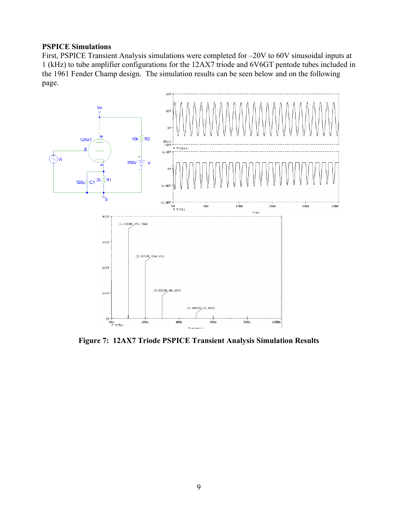#### **PSPICE Simulations**

First, PSPICE Transient Analysis simulations were completed for –20V to 60V sinusoidal inputs at 1 (kHz) to tube amplifier configurations for the 12AX7 triode and 6V6GT pentode tubes included in the 1961 Fender Champ design. The simulation results can be seen below and on the following page.



**Figure 7: 12AX7 Triode PSPICE Transient Analysis Simulation Results**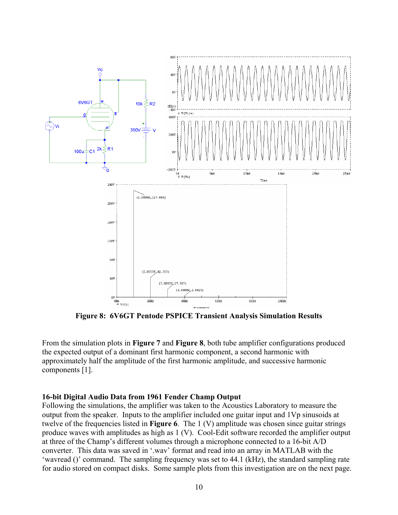

**Figure 8: 6V6GT Pentode PSPICE Transient Analysis Simulation Results** 

From the simulation plots in **Figure 7** and **Figure 8**, both tube amplifier configurations produced the expected output of a dominant first harmonic component, a second harmonic with approximately half the amplitude of the first harmonic amplitude, and successive harmonic components [1].

#### **16-bit Digital Audio Data from 1961 Fender Champ Output**

Following the simulations, the amplifier was taken to the Acoustics Laboratory to measure the output from the speaker. Inputs to the amplifier included one guitar input and 1Vp sinusoids at twelve of the frequencies listed in **Figure 6**. The 1 (V) amplitude was chosen since guitar strings produce waves with amplitudes as high as 1 (V). Cool-Edit software recorded the amplifier output at three of the Champ's different volumes through a microphone connected to a 16-bit A/D converter. This data was saved in '.wav' format and read into an array in MATLAB with the 'wavread ()' command. The sampling frequency was set to 44.1 (kHz), the standard sampling rate for audio stored on compact disks. Some sample plots from this investigation are on the next page.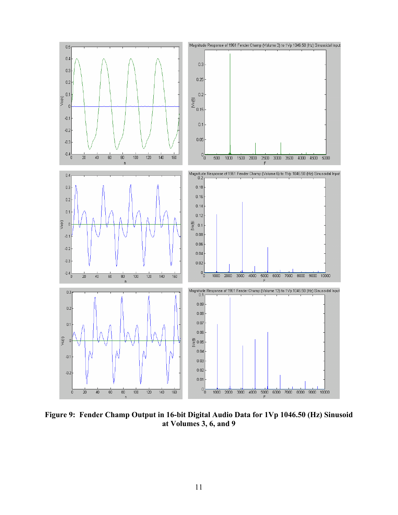

**Figure 9: Fender Champ Output in 16-bit Digital Audio Data for 1Vp 1046.50 (Hz) Sinusoid at Volumes 3, 6, and 9**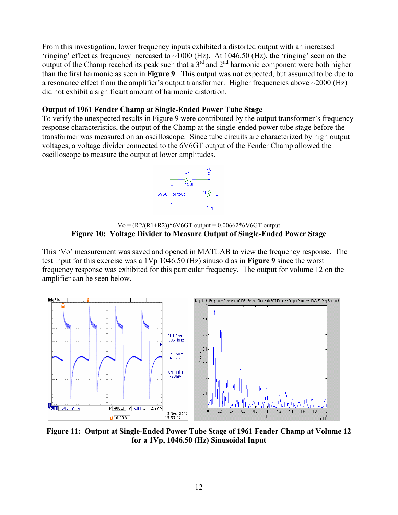From this investigation, lower frequency inputs exhibited a distorted output with an increased 'ringing' effect as frequency increased to  $\sim$ 1000 (Hz). At 1046.50 (Hz), the 'ringing' seen on the output of the Champ reached its peak such that a  $3<sup>rd</sup>$  and  $2<sup>nd</sup>$  harmonic component were both higher than the first harmonic as seen in **Figure 9**. This output was not expected, but assumed to be due to a resonance effect from the amplifier's output transformer. Higher frequencies above ~2000 (Hz) did not exhibit a significant amount of harmonic distortion.

#### **Output of 1961 Fender Champ at Single-Ended Power Tube Stage**

To verify the unexpected results in Figure 9 were contributed by the output transformer's frequency response characteristics, the output of the Champ at the single-ended power tube stage before the transformer was measured on an oscilloscope. Since tube circuits are characterized by high output voltages, a voltage divider connected to the 6V6GT output of the Fender Champ allowed the oscilloscope to measure the output at lower amplitudes.



 $Vo = (R2/(R1+R2))^*6V6GT$  output = 0.00662\*6V6GT output **Figure 10: Voltage Divider to Measure Output of Single-Ended Power Stage** 

This 'Vo' measurement was saved and opened in MATLAB to view the frequency response. The test input for this exercise was a 1Vp 1046.50 (Hz) sinusoid as in **Figure 9** since the worst frequency response was exhibited for this particular frequency. The output for volume 12 on the amplifier can be seen below.



**Figure 11: Output at Single-Ended Power Tube Stage of 1961 Fender Champ at Volume 12 for a 1Vp, 1046.50 (Hz) Sinusoidal Input**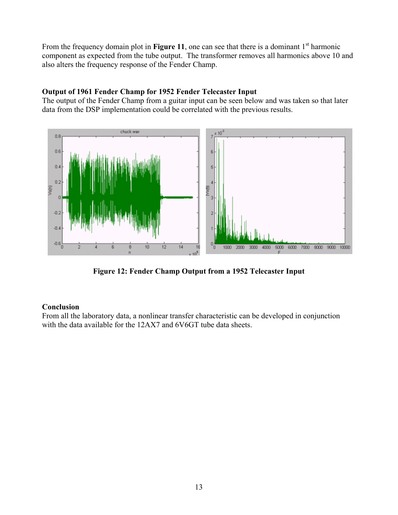From the frequency domain plot in **Figure 11**, one can see that there is a dominant 1<sup>st</sup> harmonic component as expected from the tube output. The transformer removes all harmonics above 10 and also alters the frequency response of the Fender Champ.

### **Output of 1961 Fender Champ for 1952 Fender Telecaster Input**

The output of the Fender Champ from a guitar input can be seen below and was taken so that later data from the DSP implementation could be correlated with the previous results.



**Figure 12: Fender Champ Output from a 1952 Telecaster Input** 

### **Conclusion**

From all the laboratory data, a nonlinear transfer characteristic can be developed in conjunction with the data available for the 12AX7 and 6V6GT tube data sheets.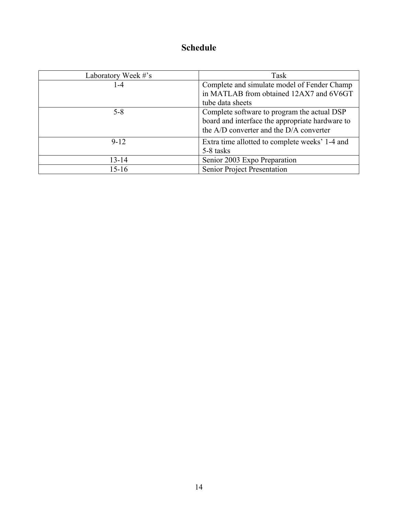# **Schedule**

| Laboratory Week #'s | Task                                                                                                                                      |
|---------------------|-------------------------------------------------------------------------------------------------------------------------------------------|
| 1-4                 | Complete and simulate model of Fender Champ<br>in MATLAB from obtained 12AX7 and 6V6GT<br>tube data sheets                                |
| $5 - 8$             | Complete software to program the actual DSP<br>board and interface the appropriate hardware to<br>the A/D converter and the D/A converter |
| $9 - 12$            | Extra time allotted to complete weeks' 1-4 and<br>5-8 tasks                                                                               |
| $13 - 14$           | Senior 2003 Expo Preparation                                                                                                              |
| $15-16$             | Senior Project Presentation                                                                                                               |